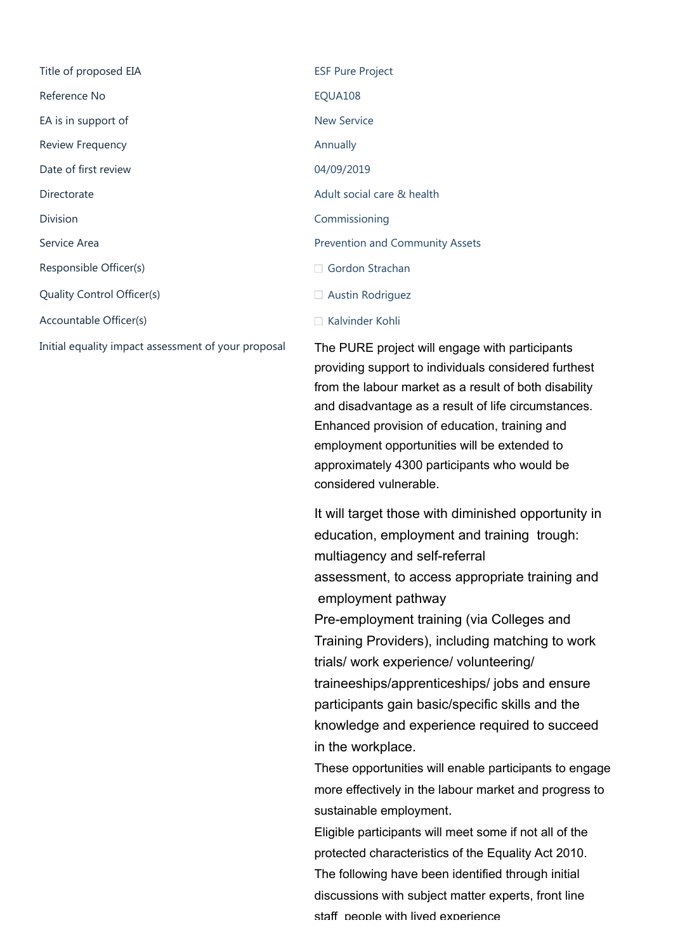Title of proposed EIA ESF Pure Project Reference No **EQUA108** EA is in support of New Service Review Frequency **Annually Annually Annually** Date of first review 04/09/2019 Directorate Adult social care & health Division Commissioning Service Area **Prevention and Community Assets** Responsible Officer(s) Quality Control Officer(s) Accountable Officer(s)

□ [Gordon Strachan](https://birminghamcitycouncil.sharepoint.com/sites/EqualityAssessmentToolkit/_layouts/15/listform.aspx?PageType=4&ListId={bee94d96-dc70-4fc5-be07-01e470c199f9}&ID=231)  $\Box$  [Austin Rodriguez](https://birminghamcitycouncil.sharepoint.com/sites/EqualityAssessmentToolkit/_layouts/15/listform.aspx?PageType=4&ListId={bee94d96-dc70-4fc5-be07-01e470c199f9}&ID=232) □ [Kalvinder Kohli](https://birminghamcitycouncil.sharepoint.com/sites/EqualityAssessmentToolkit/_layouts/15/listform.aspx?PageType=4&ListId={bee94d96-dc70-4fc5-be07-01e470c199f9}&ID=163)

Initial equality impact assessment of your proposal The PURE project will engage with participants providing support to individuals considered furthest from the labour market as a result of both disability and disadvantage as a result of life circumstances. Enhanced provision of education, training and employment opportunities will be extended to approximately 4300 participants who would be considered vulnerable.

> It will target those with diminished opportunity in education, employment and training trough: multiagency and self-referral assessment, to access appropriate training and employment pathway Pre-employment training (via Colleges and Training Providers), including matching to work trials/ work experience/ volunteering/ traineeships/apprenticeships/ jobs and ensure participants gain basic/specific skills and the knowledge and experience required to succeed in the workplace.

These opportunities will enable participants to engage more effectively in the labour market and progress to sustainable employment.

Eligible participants will meet some if not all of the protected characteristics of the Equality Act 2010. The following have been identified through initial discussions with subject matter experts, front line staff people with lived experience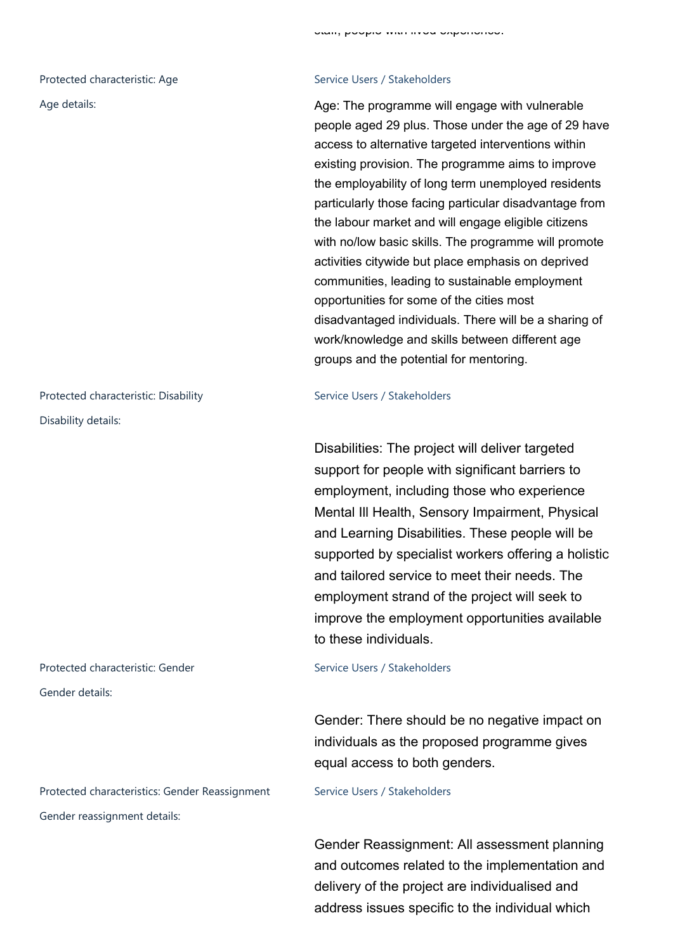Disability details:

# Protected characteristic: Gender Service Users / Stakeholders Gender details:

Protected characteristics: Gender Reassignment Service Users / Stakeholders Gender reassignment details:

## Age details: Age details: Age: The programme will engage with vulnerable people aged 29 plus. Those under the age of 29 have access to alternative targeted interventions within existing provision. The programme aims to improve the employability of long term unemployed residents particularly those facing particular disadvantage from the labour market and will engage eligible citizens with no/low basic skills. The programme will promote activities citywide but place emphasis on deprived communities, leading to sustainable employment opportunities for some of the cities most disadvantaged individuals. There will be a sharing of work/knowledge and skills between different age groups and the potential for mentoring.

### Protected characteristic: Disability Service Users / Stakeholders

Disabilities: The project will deliver targeted support for people with significant barriers to employment, including those who experience Mental Ill Health, Sensory Impairment, Physical and Learning Disabilities. These people will be supported by specialist workers offering a holistic and tailored service to meet their needs. The employment strand of the project will seek to improve the employment opportunities available to these individuals.

Gender: There should be no negative impact on individuals as the proposed programme gives equal access to both genders.

Gender Reassignment: All assessment planning and outcomes related to the implementation and delivery of the project are individualised and address issues specific to the individual which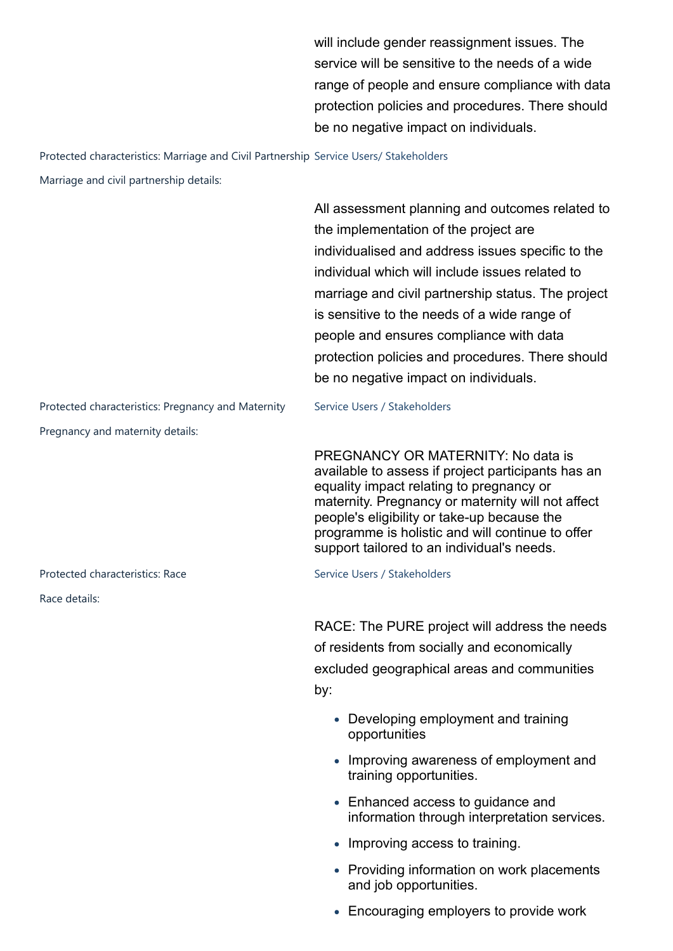will include gender reassignment issues. The service will be sensitive to the needs of a wide range of people and ensure compliance with data protection policies and procedures. There should be no negative impact on individuals.

### Protected characteristics: Marriage and Civil Partnership Service Users/ Stakeholders

Marriage and civil partnership details:

All assessment planning and outcomes related to the implementation of the project are individualised and address issues specific to the individual which will include issues related to marriage and civil partnership status. The project is sensitive to the needs of a wide range of people and ensures compliance with data protection policies and procedures. There should be no negative impact on individuals.

Protected characteristics: Pregnancy and Maternity Service Users / Stakeholders Pregnancy and maternity details:

Protected characteristics: Race Service Users / Stakeholders

Race details:

PREGNANCY OR MATERNITY: No data is available to assess if project participants has an equality impact relating to pregnancy or maternity. Pregnancy or maternity will not affect people's eligibility or take-up because the programme is holistic and will continue to offer support tailored to an individual's needs.

RACE: The PURE project will address the needs of residents from socially and economically excluded geographical areas and communities by:

- Developing employment and training opportunities
- Improving awareness of employment and training opportunities.
- Enhanced access to quidance and information through interpretation services.
- Improving access to training.
- Providing information on work placements and job opportunities.
- Encouraging employers to provide work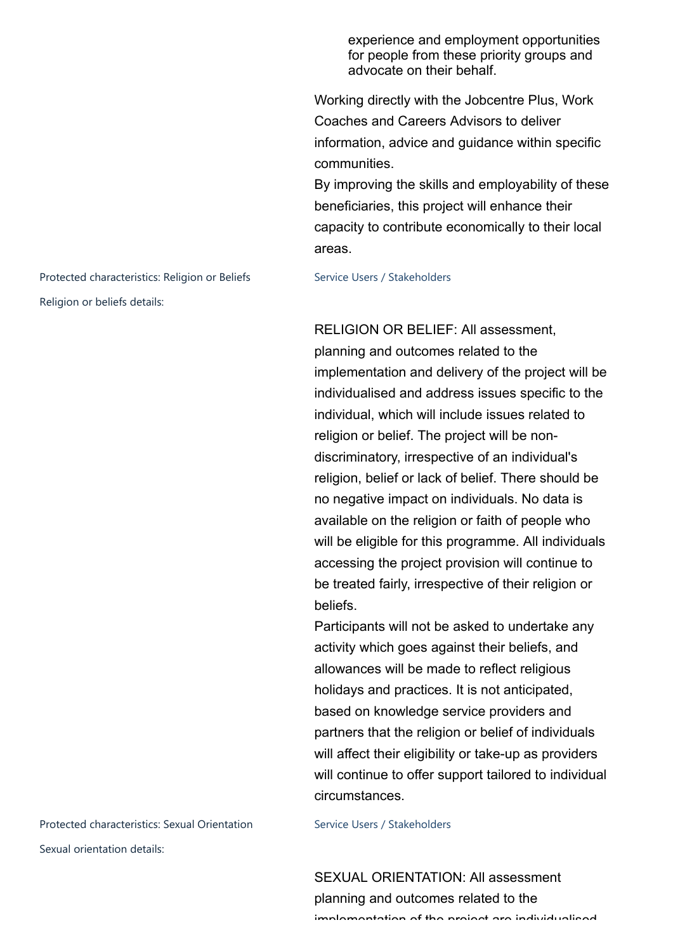experience and employment opportunities for people from these priority groups and advocate on their behalf.

Working directly with the Jobcentre Plus, Work Coaches and Careers Advisors to deliver information, advice and guidance within specific communities.

By improving the skills and employability of these beneficiaries, this project will enhance their capacity to contribute economically to their local areas.

RELIGION OR BELIEF: All assessment, planning and outcomes related to the implementation and delivery of the project will be individualised and address issues specific to the individual, which will include issues related to religion or belief. The project will be nondiscriminatory, irrespective of an individual's religion, belief or lack of belief. There should be no negative impact on individuals. No data is available on the religion or faith of people who will be eligible for this programme. All individuals accessing the project provision will continue to be treated fairly, irrespective of their religion or beliefs.

Participants will not be asked to undertake any activity which goes against their beliefs, and allowances will be made to reflect religious holidays and practices. It is not anticipated, based on knowledge service providers and partners that the religion or belief of individuals will affect their eligibility or take-up as providers will continue to offer support tailored to individual circumstances.

SEXUAL ORIENTATION: All assessment planning and outcomes related to the implementation of the project are individualised

Protected characteristics: Religion or Beliefs Service Users / Stakeholders Religion or beliefs details:

Protected characteristics: Sexual Orientation Service Users / Stakeholders Sexual orientation details: